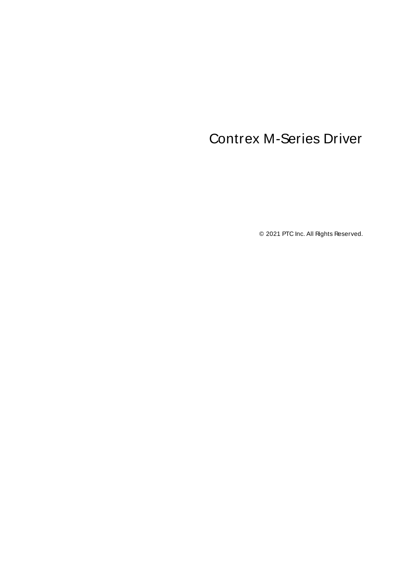# <span id="page-0-0"></span>Contrex M-Series Driver

© 2021 PTC Inc. All Rights Reserved.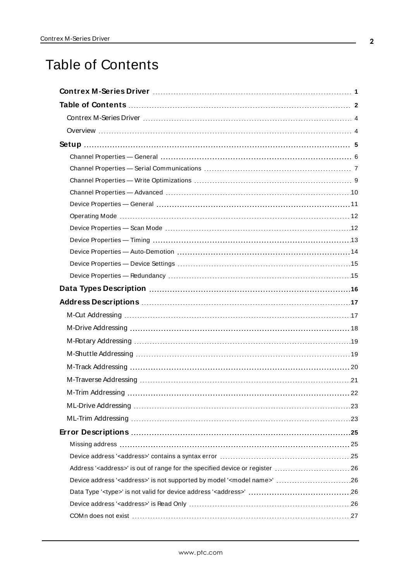# <span id="page-1-0"></span>Table of Contents

| Address' <address>' is out of range for the specified device or register  26</address>       |
|----------------------------------------------------------------------------------------------|
| Device address ' <address>' is not supported by model '<model name="">' 26</model></address> |
|                                                                                              |
|                                                                                              |
|                                                                                              |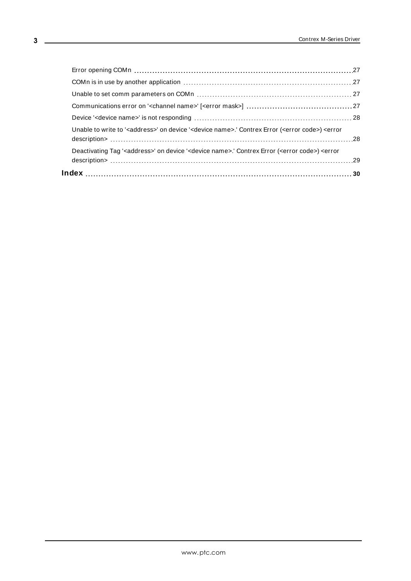| Unable to write to ' <address>' on device '<device name="">.' Contrex Error (<error code="">) <error< td=""><td></td></error<></error></device></address> |  |
|-----------------------------------------------------------------------------------------------------------------------------------------------------------|--|
| Deactivating Tag ' <address>' on device '<device name="">.' Contrex Error (<error code="">) <error< td=""><td></td></error<></error></device></address>   |  |
|                                                                                                                                                           |  |
|                                                                                                                                                           |  |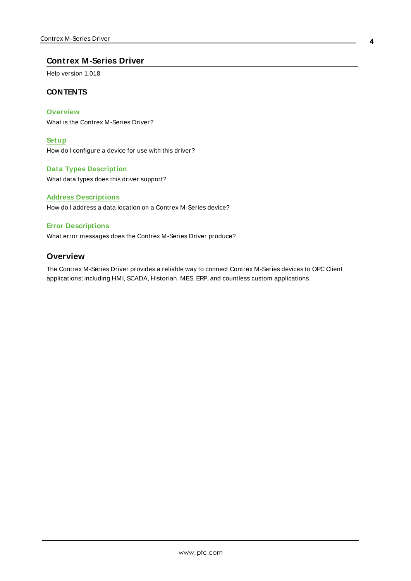#### <span id="page-3-0"></span>**Contrex M-Series Driver**

Help version 1.018

#### **CONTENTS**

**[Overview](#page-3-1)** What is the Contrex M-Series Driver?

**[Setup](#page-4-0)**

How do I configure a device for use with this driver?

#### **Data Types [Description](#page-15-0)**

What data types does this driver support?

#### **Address [Descriptions](#page-16-0)**

How do I address a data location on a Contrex M-Series device?

#### **Error [Descriptions](#page-24-0)**

<span id="page-3-1"></span>What error messages does the Contrex M-Series Driver produce?

#### **Overview**

The Contrex M-Series Driver provides a reliable way to connect Contrex M-Series devices to OPC Client applications; including HMI, SCADA, Historian, MES, ERP, and countless custom applications.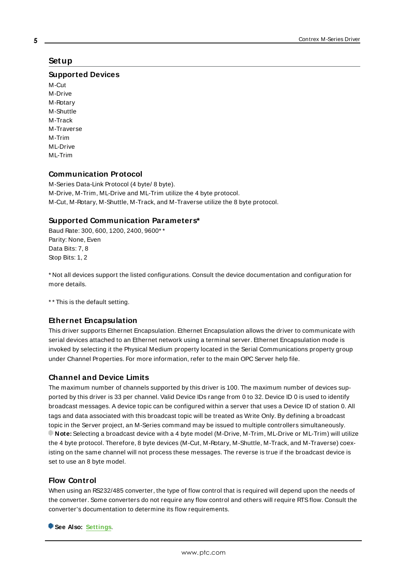#### <span id="page-4-0"></span>**Setup**

#### **Supported Devices**

M-Cut M-Drive M-Rotary M-Shuttle M-Track M-Traverse M-Trim ML-Drive ML-Trim

#### **Communication Protocol**

M-Series Data-Link Protocol (4 byte/ 8 byte). M-Drive, M-Trim, ML-Drive and ML-Trim utilize the 4 byte protocol. M-Cut, M-Rotary, M-Shuttle, M-Track, and M-Traverse utilize the 8 byte protocol.

#### **Supported Communication Parameters\***

Baud Rate: 300, 600, 1200, 2400, 9600\* \* Parity: None, Even Data Bits: 7, 8 Stop Bits: 1, 2

\* Not all devices support the listed configurations. Consult the device documentation and configuration for more details.

\*\* This is the default setting.

#### <span id="page-4-2"></span>**Ethernet Encapsulation**

This driver supports Ethernet Encapsulation. Ethernet Encapsulation allows the driver to communicate with serial devices attached to an Ethernet network using a terminal server. Ethernet Encapsulation mode is invoked by selecting it the Physical Medium property located in the Serial Communications property group under Channel Properties. For more information, refer to the main OPC Server help file.

#### <span id="page-4-1"></span>**Channel and Device Limits**

The maximum number of channels supported by this driver is 100. The maximum number of devices supported by this driver is 33 per channel. Valid Device IDs range from 0 to 32. Device ID 0 is used to identify broadcast messages. A device topic can be configured within a server that uses a Device ID of station 0. All tags and data associated with this broadcast topic will be treated as Write Only. By defining a broadcast topic in the Server project, an M-Series command may be issued to multiple controllers simultaneously. **Note:** Selecting a broadcast device with a 4 byte model (M-Drive, M-Trim, ML-Drive or ML-Trim) will utilize the 4 byte protocol. Therefore, 8 byte devices (M-Cut, M-Rotary, M-Shuttle, M-Track, and M-Traverse) coexisting on the same channel will not process these messages. The reverse is true if the broadcast device is set to use an 8 byte model.

#### **Flow Control**

When using an RS232/485 converter, the type of flow control that is required will depend upon the needs of the converter. Some converters do not require any flow control and others will require RTSflow. Consult the converter's documentation to determine its flow requirements.

**See Also: [Settings](#page-14-0)**.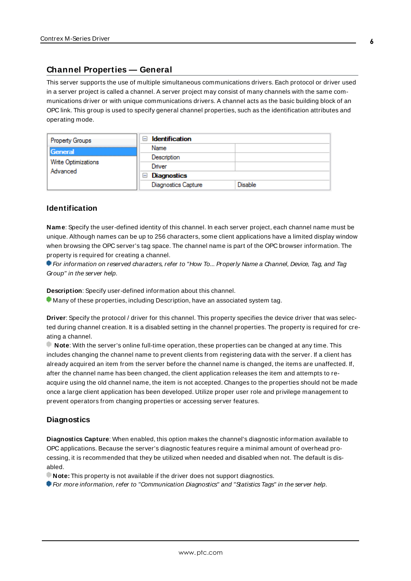# <span id="page-5-0"></span>**Channel Properties — General**

This server supports the use of multiple simultaneous communications drivers. Each protocol or driver used in a server project is called a channel. A server project may consist of many channels with the same communications driver or with unique communications drivers. A channel acts as the basic building block of an OPC link. This group is used to specify general channel properties, such as the identification attributes and operating mode.

| <b>Property Groups</b><br>General<br>Write Optimizations<br>Advanced | Identification<br>$-$      |                |
|----------------------------------------------------------------------|----------------------------|----------------|
|                                                                      | Name                       |                |
|                                                                      | Description                |                |
|                                                                      | Driver                     |                |
|                                                                      | $\Box$ Diagnostics         |                |
|                                                                      | <b>Diagnostics Capture</b> | <b>Disable</b> |

## **Identification**

**Name**: Specify the user-defined identity of this channel. In each server project, each channel name must be unique. Although names can be up to 256 characters, some client applications have a limited display window when browsing the OPC server's tag space. The channel name is part of the OPC browser information. The property is required for creating a channel.

For information on reserved characters, refer to "How To... Properly Name a Channel, Device, Tag, and Tag Group" in the server help.

**Description**: Specify user-defined information about this channel.

Many of these properties, including Description, have an associated system tag.

**Driver**: Specify the protocol / driver for this channel. This property specifies the device driver that was selected during channel creation. It is a disabled setting in the channel properties. The property is required for creating a channel.

**Note**: With the server's online full-time operation, these properties can be changed at any time. This includes changing the channel name to prevent clients from registering data with the server. If a client has already acquired an item from the server before the channel name is changed, the items are unaffected. If, after the channel name has been changed, the client application releases the item and attempts to reacquire using the old channel name, the item is not accepted. Changes to the properties should not be made once a large client application has been developed. Utilize proper user role and privilege management to prevent operators from changing properties or accessing server features.

#### **Diagnostics**

**Diagnostics Capture**: When enabled, this option makes the channel's diagnostic information available to OPC applications. Because the server's diagnostic features require a minimal amount of overhead processing, it is recommended that they be utilized when needed and disabled when not. The default is disabled.

**Note:** This property is not available if the driver does not support diagnostics.

For more information, refer to "Communication Diagnostics" and "Statistics Tags" in the server help.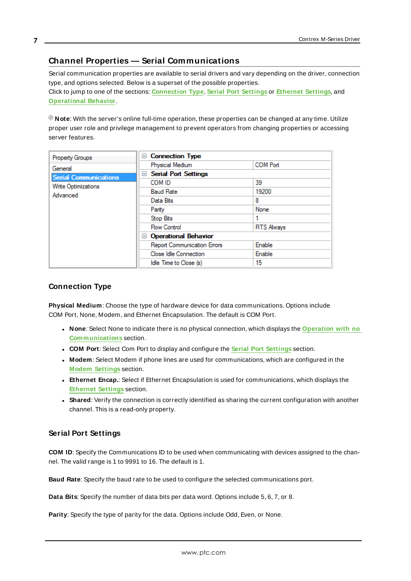# <span id="page-6-0"></span>**Channel Properties — Serial Communications**

Serial communication properties are available to serial drivers and vary depending on the driver, connection type, and options selected. Below is a superset of the possible properties. Click to jump to one of the sections: **[Connection](#page-6-1) Type**, **Serial Port [Settings](#page-6-2)** or **[Ethernet](#page-7-0) Settings**, and **[Operational](#page-7-1) Behavior**.

**Note**: With the server's online full-time operation, these properties can be changed at any time. Utilize proper user role and privilege management to prevent operators from changing properties or accessing server features.

| Property Groups              | □ Connection Type                  |                   |
|------------------------------|------------------------------------|-------------------|
| General                      | Physical Medium                    | <b>COM Port</b>   |
| <b>Serial Communications</b> | <b>Serial Port Settings</b><br>$=$ |                   |
| Write Optimizations          | COM ID                             | 39                |
| Advanced                     | <b>Baud Rate</b>                   | 19200             |
|                              | Data Bits                          | 8                 |
|                              | Parity                             | None              |
|                              | Stop Bits                          |                   |
|                              | <b>Flow Control</b>                | <b>RTS Always</b> |
|                              | □ Operational Behavior             |                   |
|                              | <b>Report Communication Errors</b> | Enable            |
|                              | Close Idle Connection              | <b>Enable</b>     |
|                              | Idle Time to Close (s)             | 15                |

#### <span id="page-6-1"></span>**Connection Type**

**Physical Medium**: Choose the type of hardware device for data communications. Options include COM Port, None, Modem, and Ethernet Encapsulation. The default is COM Port.

- <sup>l</sup> **None**: Select None to indicate there is no physical connection, which displays the **[Operation](#page-8-1) with no [Communications](#page-8-1)** section.
- <sup>l</sup> **COM Port**: Select Com Port to display and configure the **Serial Port [Settings](#page-6-2)** section.
- **Modem**: Select Modem if phone lines are used for communications, which are configured in the **Modem [Settings](#page-8-2)** section.
- **Ethernet Encap.**: Select if Ethernet Encapsulation is used for communications, which displays the **[Ethernet](#page-7-0) Settings** section.
- **Shared**: Verify the connection is correctly identified as sharing the current configuration with another channel. This is a read-only property.

#### <span id="page-6-2"></span>**Serial Port Settings**

**COM ID**: Specify the Communications ID to be used when communicating with devices assigned to the channel. The valid range is 1 to 9991 to 16. The default is 1.

**Baud Rate**: Specify the baud rate to be used to configure the selected communications port.

**Data Bits**: Specify the number of data bits per data word. Options include 5, 6, 7, or 8.

**Parity**: Specify the type of parity for the data. Options include Odd, Even, or None.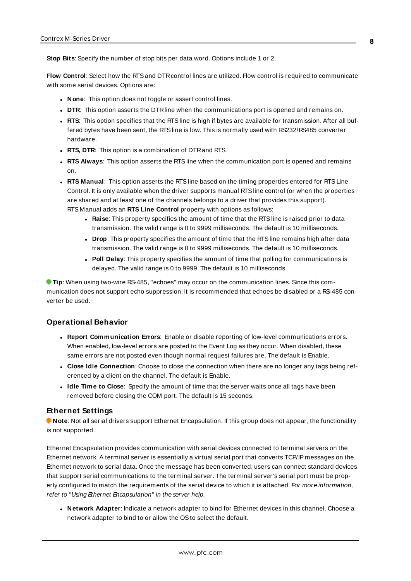**Stop Bits**: Specify the number of stop bits per data word. Options include 1 or 2.

**Flow Control**: Select how the RTSand DTRcontrol lines are utilized. Flow control is required to communicate with some serial devices. Options are:

- **None:** This option does not toggle or assert control lines.
- **DTR:** This option asserts the DTR line when the communications port is opened and remains on.
- **RTS:** This option specifies that the RTS line is high if bytes are available for transmission. After all buffered bytes have been sent, the RTSline is low. This is normally used with RS232/RS485 converter hardware.
- **RTS, DTR:** This option is a combination of DTR and RTS.
- <sup>l</sup> **RTS Always**: This option asserts the RTSline when the communication port is opened and remains on.
- <sup>l</sup> **RTS Manual**: This option asserts the RTSline based on the timing properties entered for RTSLine Control. It is only available when the driver supports manual RTSline control (or when the properties are shared and at least one of the channels belongs to a driver that provides this support). RTS Manual adds an **RTS Line Control** property with options as follows:
	- **Raise**: This property specifies the amount of time that the RTS line is raised prior to data transmission. The valid range is 0 to 9999 milliseconds. The default is 10 milliseconds.
	- **Drop**: This property specifies the amount of time that the RTS line remains high after data transmission. The valid range is 0 to 9999 milliseconds. The default is 10 milliseconds.
	- **Poll Delay**: This property specifies the amount of time that polling for communications is delayed. The valid range is 0 to 9999. The default is 10 milliseconds.

**Tip**: When using two-wire RS-485, "echoes" may occur on the communication lines. Since this communication does not support echo suppression, it is recommended that echoes be disabled or a RS-485 converter be used.

#### <span id="page-7-1"></span>**Operational Behavior**

- <sup>l</sup> **Report Communication Errors**: Enable or disable reporting of low-level communications errors. When enabled, low-level errors are posted to the Event Log as they occur. When disabled, these same errors are not posted even though normal request failures are. The default is Enable.
- <sup>l</sup> **Close Idle Connection**: Choose to close the connection when there are no longer any tags being referenced by a client on the channel. The default is Enable.
- **.** Idle Time to Close: Specify the amount of time that the server waits once all tags have been removed before closing the COM port. The default is 15 seconds.

#### <span id="page-7-0"></span>**Ethernet Settings**

**Note**: Not all serial drivers support Ethernet Encapsulation. If this group does not appear, the functionality is not supported.

Ethernet Encapsulation provides communication with serial devices connected to terminal servers on the Ethernet network. A terminal server is essentially a virtual serial port that converts TCP/IP messages on the Ethernet network to serial data. Once the message has been converted, users can connect standard devices that support serial communications to the terminal server. The terminal server's serial port must be properly configured to match the requirements of the serial device to which it is attached. For more information, refer to "Using Ethernet Encapsulation" in the server help.

<sup>l</sup> **Network Adapter**: Indicate a network adapter to bind for Ethernet devices in this channel. Choose a network adapter to bind to or allow the OSto select the default.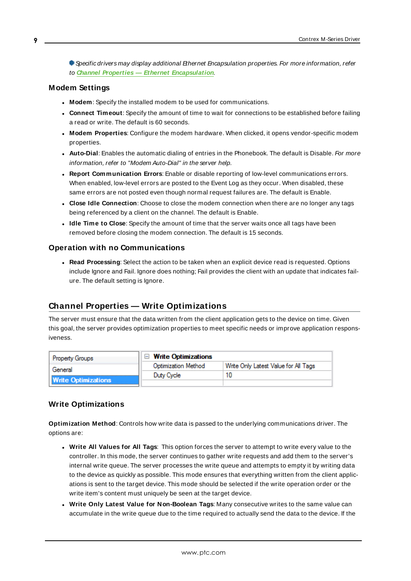Specific drivers may display additional Ethernet Encapsulation properties. For more information, refer to **Channel Properties — Ethernet Encapsulation**.

#### <span id="page-8-2"></span>**Modem Settings**

- **Modem**: Specify the installed modem to be used for communications.
- **Connect Timeout**: Specify the amount of time to wait for connections to be established before failing a read or write. The default is 60 seconds.
- <sup>l</sup> **Modem Properties**: Configure the modem hardware. When clicked, it opens vendor-specific modem properties.
- **Auto-Dial**: Enables the automatic dialing of entries in the Phonebook. The default is Disable. For more information, refer to "Modem Auto-Dial" in the server help.
- <sup>l</sup> **Report Communication Errors**: Enable or disable reporting of low-level communications errors. When enabled, low-level errors are posted to the Event Log as they occur. When disabled, these same errors are not posted even though normal request failures are. The default is Enable.
- **Close Idle Connection**: Choose to close the modem connection when there are no longer any tags being referenced by a client on the channel. The default is Enable.
- <sup>l</sup> **Idle Time to Close**: Specify the amount of time that the server waits once all tags have been removed before closing the modem connection. The default is 15 seconds.

#### <span id="page-8-1"></span>**Operation with no Communications**

**Read Processing**: Select the action to be taken when an explicit device read is requested. Options include Ignore and Fail. Ignore does nothing; Fail provides the client with an update that indicates failure. The default setting is Ignore.

### <span id="page-8-0"></span>**Channel Properties — Write Optimizations**

The server must ensure that the data written from the client application gets to the device on time. Given this goal, the server provides optimization properties to meet specific needs or improve application responsiveness.

| <b>Property Groups</b>     | $\Box$ Write Optimizations |                                      |
|----------------------------|----------------------------|--------------------------------------|
| General                    | Optimization Method        | Write Only Latest Value for All Tags |
|                            | Duty Cycle                 |                                      |
| <b>Write Optimizations</b> |                            |                                      |

#### **Write Optimizations**

**Optimization Method**: Controls how write data is passed to the underlying communications driver. The options are:

- <sup>l</sup> **Write All Values for All Tags**: This option forces the server to attempt to write every value to the controller. In this mode, the server continues to gather write requests and add them to the server's internal write queue. The server processes the write queue and attempts to empty it by writing data to the device as quickly as possible. This mode ensures that everything written from the client applications is sent to the target device. This mode should be selected if the write operation order or the write item's content must uniquely be seen at the target device.
- <sup>l</sup> **Write Only Latest Value for Non-Boolean Tags**: Many consecutive writes to the same value can accumulate in the write queue due to the time required to actually send the data to the device. If the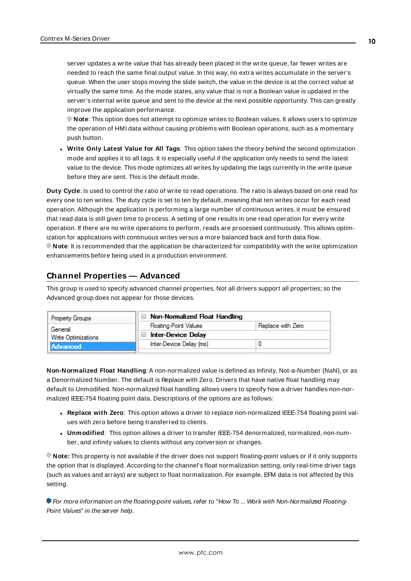server updates a write value that has already been placed in the write queue, far fewer writes are needed to reach the same final output value. In this way, no extra writes accumulate in the server's queue. When the user stops moving the slide switch, the value in the device is at the correct value at virtually the same time. As the mode states, any value that is not a Boolean value is updated in the server's internal write queue and sent to the device at the next possible opportunity. This can greatly improve the application performance.

**Note**: This option does not attempt to optimize writes to Boolean values. It allows users to optimize the operation of HMI data without causing problems with Boolean operations, such as a momentary push button.

**• Write Only Latest Value for All Tags**: This option takes the theory behind the second optimization mode and applies it to all tags. It is especially useful if the application only needs to send the latest value to the device. This mode optimizes all writes by updating the tags currently in the write queue before they are sent. This is the default mode.

**Duty Cycle**: is used to control the ratio of write to read operations. The ratio is always based on one read for every one to ten writes. The duty cycle is set to ten by default, meaning that ten writes occur for each read operation. Although the application is performing a large number of continuous writes, it must be ensured that read data is still given time to process. A setting of one results in one read operation for every write operation. If there are no write operations to perform, reads are processed continuously. This allows optimization for applications with continuous writes versus a more balanced back and forth data flow. **Note**: It is recommended that the application be characterized for compatibility with the write optimization enhancements before being used in a production environment.

# <span id="page-9-0"></span>**Channel Properties — Advanced**

This group is used to specify advanced channel properties. Not all drivers support all properties; so the Advanced group does not appear for those devices.

| <b>Property Groups</b>     | $\Box$ Non-Normalized Float Handling |                   |
|----------------------------|--------------------------------------|-------------------|
| General                    | <b>Floating-Point Values</b>         | Replace with Zero |
| <b>Write Optimizations</b> | <b>Inter-Device Delay</b>            |                   |
| <b>Advanced</b>            | Inter-Device Delay (ms)              |                   |
|                            |                                      |                   |

**Non-Normalized Float Handling**: A non-normalized value is defined as Infinity, Not-a-Number (NaN), or as a Denormalized Number. The default is Replace with Zero. Drivers that have native float handling may default to Unmodified. Non-normalized float handling allows users to specify how a driver handles non-normalized IEEE-754 floating point data. Descriptions of the options are as follows:

- <sup>l</sup> **Replace with Zero**: This option allows a driver to replace non-normalized IEEE-754 floating point values with zero before being transferred to clients.
- <sup>l</sup> **Unmodified**: This option allows a driver to transfer IEEE-754 denormalized, normalized, non-number, and infinity values to clients without any conversion or changes.

**Note:** This property is not available if the driver does not support floating-point values or if it only supports the option that is displayed. According to the channel's float normalization setting, only real-time driver tags (such as values and arrays) are subject to float normalization. For example, EFM data is not affected by this setting.

For more information on the floating-point values, refer to "How To ... Work with Non-Normalized Floating-Point Values" in the server help.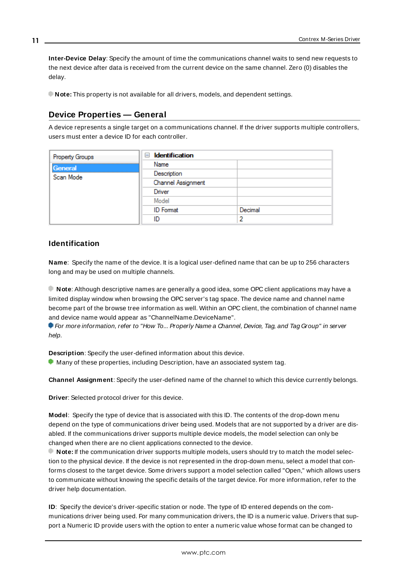**Inter-Device Delay**: Specify the amount of time the communications channel waits to send new requests to the next device after data is received from the current device on the same channel. Zero (0) disables the delay.

<span id="page-10-0"></span>**Note:** This property is not available for all drivers, models, and dependent settings.

#### **Device Properties — General**

A device represents a single target on a communications channel. If the driver supports multiple controllers, users must enter a device ID for each controller.

| <b>Property Groups</b> | $\Box$ Identification |         |
|------------------------|-----------------------|---------|
| General                | Name                  |         |
| Scan Mode              | Description           |         |
|                        | Channel Assignment    |         |
|                        | Driver                |         |
|                        | Model                 |         |
|                        | <b>ID</b> Format      | Decimal |
|                        | ID                    |         |

#### <span id="page-10-4"></span>**Identification**

**Name**: Specify the name of the device. It is a logical user-defined name that can be up to 256 characters long and may be used on multiple channels.

**Note**: Although descriptive names are generally a good idea, some OPC client applications may have a limited display window when browsing the OPC server's tag space. The device name and channel name become part of the browse tree information as well. Within an OPC client, the combination of channel name and device name would appear as "ChannelName.DeviceName".

For more information, refer to "How To... Properly Name a Channel, Device, Tag, and Tag Group" in server help.

**Description**: Specify the user-defined information about this device.

<span id="page-10-1"></span> $\bullet$  Many of these properties, including Description, have an associated system tag.

<span id="page-10-2"></span>**Channel Assignment**: Specify the user-defined name of the channel to which this device currently belongs.

<span id="page-10-3"></span>**Driver**: Selected protocol driver for this device.

**Model**: Specify the type of device that is associated with this ID. The contents of the drop-down menu depend on the type of communications driver being used. Models that are not supported by a driver are disabled. If the communications driver supports multiple device models, the model selection can only be changed when there are no client applications connected to the device.

**Note:** If the communication driver supports multiple models, users should try to match the model selection to the physical device. If the device is not represented in the drop-down menu, select a model that conforms closest to the target device. Some drivers support a model selection called "Open," which allows users to communicate without knowing the specific details of the target device. For more information, refer to the driver help documentation.

**ID**: Specify the device's driver-specific station or node. The type of ID entered depends on the communications driver being used. For many communication drivers, the ID is a numeric value. Drivers that support a Numeric ID provide users with the option to enter a numeric value whose format can be changed to

**11**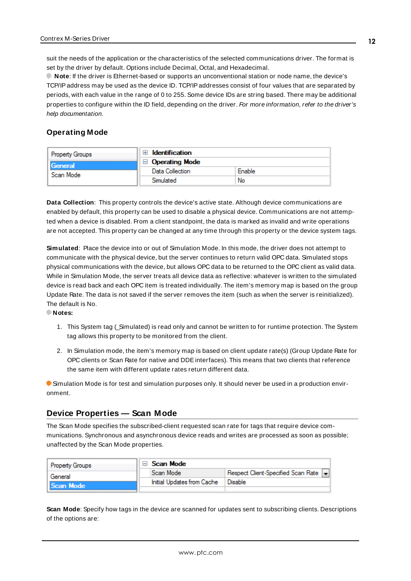<span id="page-11-3"></span>suit the needs of the application or the characteristics of the selected communications driver. The format is set by the driver by default. Options include Decimal, Octal, and Hexadecimal.

**Note**: If the driver is Ethernet-based or supports an unconventional station or node name, the device's TCP/IPaddress may be used as the device ID. TCP/IPaddresses consist of four values that are separated by periods, with each value in the range of 0 to 255. Some device IDs are string based. There may be additional properties to configure within the ID field, depending on the driver. For more information, refer to the driver's help documentation.

### <span id="page-11-0"></span>**Operating Mode**

| <b>Property Groups</b>      | <b>Identification</b> |        |
|-----------------------------|-----------------------|--------|
| <b>General</b><br>Scan Mode | <b>Operating Mode</b> |        |
|                             | Data Collection       | Enable |
|                             | Simulated             | No     |

<span id="page-11-2"></span>**Data Collection**: This property controls the device's active state. Although device communications are enabled by default, this property can be used to disable a physical device. Communications are not attempted when a device is disabled. From a client standpoint, the data is marked as invalid and write operations are not accepted. This property can be changed at any time through this property or the device system tags.

<span id="page-11-5"></span>**Simulated**: Place the device into or out of Simulation Mode. In this mode, the driver does not attempt to communicate with the physical device, but the server continues to return valid OPC data. Simulated stops physical communications with the device, but allows OPC data to be returned to the OPC client as valid data. While in Simulation Mode, the server treats all device data as reflective: whatever is written to the simulated device is read back and each OPC item is treated individually. The item's memory map is based on the group Update Rate. The data is not saved if the server removes the item (such as when the server is reinitialized). The default is No.

**Notes:**

- 1. This System tag (\_Simulated) is read only and cannot be written to for runtime protection. The System tag allows this property to be monitored from the client.
- 2. In Simulation mode, the item's memory map is based on client update rate(s) (Group Update Rate for OPC clients or Scan Rate for native and DDEinterfaces). This means that two clients that reference the same item with different update rates return different data.

 Simulation Mode is for test and simulation purposes only. It should never be used in a production environment.

### <span id="page-11-1"></span>**Device Properties — Scan Mode**

The Scan Mode specifies the subscribed-client requested scan rate for tags that require device communications. Synchronous and asynchronous device reads and writes are processed as soon as possible; unaffected by the Scan Mode properties.

| <b>Property Groups</b> | ⊟ Scan Mode                |                                       |
|------------------------|----------------------------|---------------------------------------|
| General                | Scan Mode                  | Respect Client-Specified Scan Rate  - |
| Scan Mode              | Initial Updates from Cache | Disable                               |
|                        |                            |                                       |

<span id="page-11-4"></span>**Scan Mode**: Specify how tags in the device are scanned for updates sent to subscribing clients. Descriptions of the options are: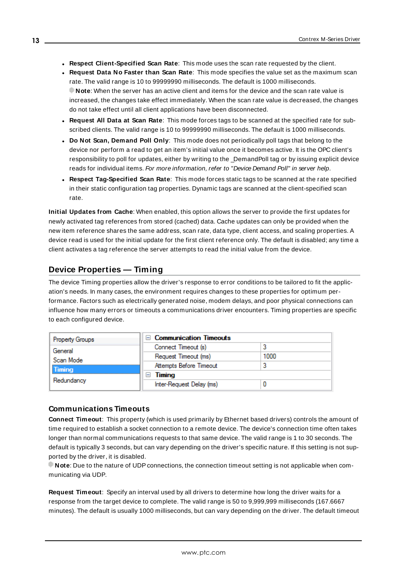- <sup>l</sup> **Respect Client-Specified Scan Rate**: This mode uses the scan rate requested by the client.
- <sup>l</sup> **Request Data No Faster than Scan Rate**: This mode specifies the value set as the maximum scan rate. The valid range is 10 to 99999990 milliseconds. The default is 1000 milliseconds. **Note**: When the server has an active client and items for the device and the scan rate value is increased, the changes take effect immediately. When the scan rate value is decreased, the changes do not take effect until all client applications have been disconnected.
- <sup>l</sup> **Request All Data at Scan Rate**: This mode forces tags to be scanned at the specified rate for subscribed clients. The valid range is 10 to 99999990 milliseconds. The default is 1000 milliseconds.
- <span id="page-12-3"></span><sup>l</sup> **Do Not Scan, Demand Poll Only**: This mode does not periodically poll tags that belong to the device nor perform a read to get an item's initial value once it becomes active. It is the OPC client's responsibility to poll for updates, either by writing to the \_DemandPoll tag or by issuing explicit device reads for individual items. For more information, refer to "Device Demand Poll" in server help.
- <span id="page-12-5"></span><sup>l</sup> **Respect Tag-Specified Scan Rate**: This mode forces static tags to be scanned at the rate specified in their static configuration tag properties. Dynamic tags are scanned at the client-specified scan rate.

<span id="page-12-4"></span>**Initial Updates from Cache**: When enabled, this option allows the server to provide the first updates for newly activated tag references from stored (cached) data. Cache updates can only be provided when the new item reference shares the same address, scan rate, data type, client access, and scaling properties. A device read is used for the initial update for the first client reference only. The default is disabled; any time a client activates a tag reference the server attempts to read the initial value from the device.

# <span id="page-12-1"></span><span id="page-12-0"></span>**Device Properties — Timing**

The device Timing properties allow the driver's response to error conditions to be tailored to fit the application's needs. In many cases, the environment requires changes to these properties for optimum performance. Factors such as electrically generated noise, modem delays, and poor physical connections can influence how many errors or timeouts a communications driver encounters. Timing properties are specific to each configured device.

| <b>Property Groups</b> | <b>Communication Timeouts</b><br>$\overline{}$ |      |
|------------------------|------------------------------------------------|------|
| General<br>Scan Mode   | Connect Timeout (s)                            |      |
|                        | Request Timeout (ms)                           | 1000 |
| Timing                 | Attempts Before Timeout                        |      |
| Redundancy             | Timing<br>Ξ                                    |      |
|                        | Inter-Request Delay (ms)                       |      |

#### <span id="page-12-2"></span>**Communications Timeouts**

**Connect Timeout**: This property (which is used primarily by Ethernet based drivers) controls the amount of time required to establish a socket connection to a remote device. The device's connection time often takes longer than normal communications requests to that same device. The valid range is 1 to 30 seconds. The default is typically 3 seconds, but can vary depending on the driver's specific nature. If this setting is not supported by the driver, it is disabled.

**Note**: Due to the nature of UDPconnections, the connection timeout setting is not applicable when communicating via UDP.

**Request Timeout**: Specify an interval used by all drivers to determine how long the driver waits for a response from the target device to complete. The valid range is 50 to 9,999,999 milliseconds (167.6667 minutes). The default is usually 1000 milliseconds, but can vary depending on the driver. The default timeout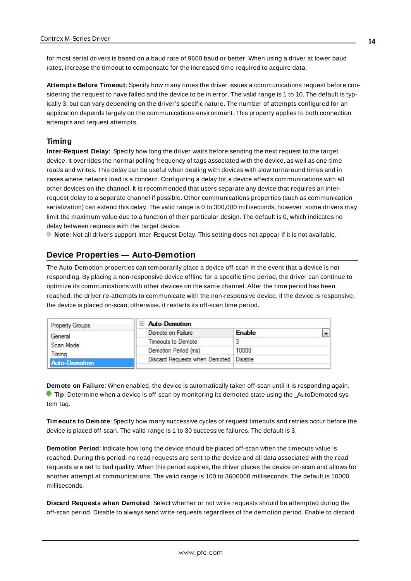<span id="page-13-5"></span>for most serial drivers is based on a baud rate of 9600 baud or better. When using a driver at lower baud rates, increase the timeout to compensate for the increased time required to acquire data.

<span id="page-13-1"></span>**Attempts Before Timeout**: Specify how many times the driver issues a communications request before considering the request to have failed and the device to be in error. The valid range is 1 to 10. The default is typically 3, but can vary depending on the driver's specific nature. The number of attempts configured for an application depends largely on the communications environment. This property applies to both connection attempts and request attempts.

#### <span id="page-13-4"></span>**Timing**

**Inter-Request Delay**: Specify how long the driver waits before sending the next request to the target device. It overrides the normal polling frequency of tags associated with the device, as well as one-time reads and writes. This delay can be useful when dealing with devices with slow turnaround times and in cases where network load is a concern. Configuring a delay for a device affects communications with all other devices on the channel. It is recommended that users separate any device that requires an interrequest delay to a separate channel if possible. Other communications properties (such as communication serialization) can extend this delay. The valid range is 0 to 300,000 milliseconds; however, some drivers may limit the maximum value due to a function of their particular design. The default is 0, which indicates no delay between requests with the target device.

<span id="page-13-0"></span>**Note**: Not all drivers support Inter-Request Delay. This setting does not appear if it is not available.

### **Device Properties — Auto-Demotion**

The Auto-Demotion properties can temporarily place a device off-scan in the event that a device is not responding. By placing a non-responsive device offline for a specific time period, the driver can continue to optimize its communications with other devices on the same channel. After the time period has been reached, the driver re-attempts to communicate with the non-responsive device. If the device is responsive, the device is placed on-scan; otherwise, it restarts its off-scan time period.

| <b>Property Groups</b> | <b>Auto-Demotion</b>                    |                                           |
|------------------------|-----------------------------------------|-------------------------------------------|
| General                | Demote on Failure                       | $\overline{\phantom{0}}$<br><b>Enable</b> |
| Scan Mode              | Timeouts to Demote                      |                                           |
| Timina                 | Demotion Period (ms)                    | 10000                                     |
| Auto-Demotion          | Discard Requests when Demoted   Disable |                                           |
|                        |                                         |                                           |

<span id="page-13-2"></span>**Demote on Failure**: When enabled, the device is automatically taken off-scan until it is responding again. **Tip:** Determine when a device is off-scan by monitoring its demoted state using the \_AutoDemoted system tag.

<span id="page-13-6"></span>**Timeouts to Demote**: Specify how many successive cycles of request timeouts and retries occur before the device is placed off-scan. The valid range is 1 to 30 successive failures. The default is 3.

<span id="page-13-3"></span>**Demotion Period**: Indicate how long the device should be placed off-scan when the timeouts value is reached. During this period, no read requests are sent to the device and all data associated with the read requests are set to bad quality. When this period expires, the driver places the device on-scan and allows for another attempt at communications. The valid range is 100 to 3600000 milliseconds. The default is 10000 milliseconds.

**Discard Requests when Demoted**: Select whether or not write requests should be attempted during the off-scan period. Disable to always send write requests regardless of the demotion period. Enable to discard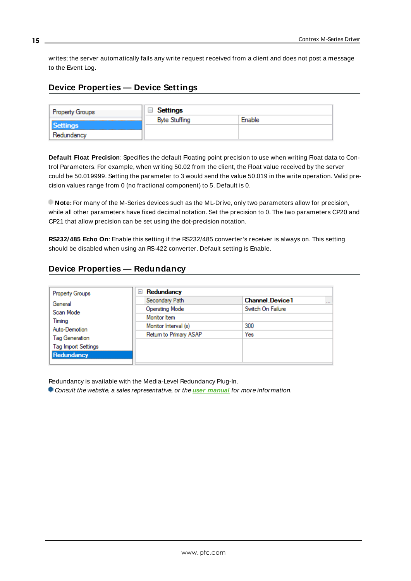<span id="page-14-2"></span>writes; the server automatically fails any write request received from a client and does not post a message to the Event Log.

# <span id="page-14-0"></span>**Device Properties — Device Settings**

| <b>Property Groups</b>        | Settings             |        |  |
|-------------------------------|----------------------|--------|--|
|                               | <b>Byte Stuffing</b> | Enable |  |
| <b>Settings</b><br>Redundancy |                      |        |  |

**Default Float Precision**: Specifies the default Floating point precision to use when writing Float data to Control Parameters. For example, when writing 50.02 from the client, the Float value received by the server could be 50.019999. Setting the parameter to 3 would send the value 50.019 in the write operation. Valid precision values range from 0 (no fractional component) to 5. Default is 0.

**Note:** For many of the M-Series devices such as the ML-Drive, only two parameters allow for precision, while all other parameters have fixed decimal notation. Set the precision to 0. The two parameters CP20 and CP21 that allow precision can be set using the dot-precision notation.

**RS232/485 Echo On**: Enable this setting if the RS232/485 converter's receiver is always on. This setting should be disabled when using an RS-422 converter. Default setting is Enable.

# <span id="page-14-1"></span>**Device Properties — Redundancy**

| <b>Property Groups</b>     | Redundancy<br>$=$      |                                    |
|----------------------------|------------------------|------------------------------------|
| General                    | Secondary Path         | <b>Channel Device1</b><br>$\cdots$ |
| Scan Mode                  | <b>Operating Mode</b>  | Switch On Failure                  |
| Timing                     | Monitor Item           |                                    |
| Auto-Demotion              | Monitor Interval (s)   | 300                                |
| Tag Generation             | Return to Primary ASAP | Yes                                |
| <b>Tag Import Settings</b> |                        |                                    |
| Redundancy                 |                        |                                    |
|                            |                        |                                    |

Redundancy is available with the Media-Level Redundancy Plug-In.

Consult the website, a sales representative, or the **user [manual](https://www.kepware.com/getattachment/35461efd-b53a-4219-a109-a89fad20b230/media-level-redundancy-manual.pdf)** for more information.

**15**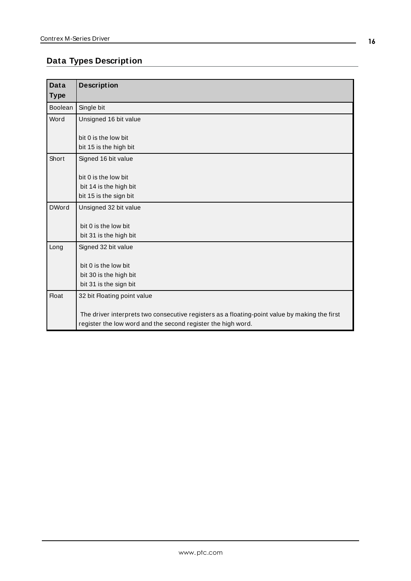# <span id="page-15-0"></span>**Data Types Description**

<span id="page-15-4"></span><span id="page-15-3"></span><span id="page-15-2"></span><span id="page-15-1"></span>

| Data<br><b>Type</b> | <b>Description</b>                                                                                                                                            |
|---------------------|---------------------------------------------------------------------------------------------------------------------------------------------------------------|
| Boolean             | Single bit                                                                                                                                                    |
| Word                | Unsigned 16 bit value                                                                                                                                         |
|                     | bit 0 is the low bit<br>bit 15 is the high bit                                                                                                                |
| Short               | Signed 16 bit value                                                                                                                                           |
|                     | bit 0 is the low bit<br>bit 14 is the high bit<br>bit 15 is the sign bit                                                                                      |
| <b>DWord</b>        | Unsigned 32 bit value                                                                                                                                         |
|                     | bit 0 is the low bit<br>bit 31 is the high bit                                                                                                                |
| Long                | Signed 32 bit value                                                                                                                                           |
|                     | bit 0 is the low bit<br>bit 30 is the high bit<br>bit 31 is the sign bit                                                                                      |
| <b>Float</b>        | 32 bit Floating point value                                                                                                                                   |
|                     | The driver interprets two consecutive registers as a floating-point value by making the first<br>register the low word and the second register the high word. |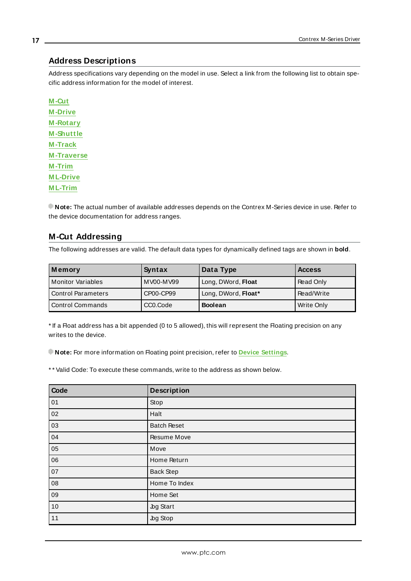# <span id="page-16-0"></span>**Address Descriptions**

Address specifications vary depending on the model in use. Select a link from the following list to obtain specific address information for the model of interest.

**[M -Cut](#page-16-1) [M -Drive](#page-17-0) [M -Rotary](#page-18-0) [M -Shuttle](#page-18-1) [M -Track](#page-19-0) [M -Traverse](#page-20-0) [M -Trim](#page-21-0) [M L-Drive](#page-22-0) [M L-Trim](#page-22-1)**

**Note:** The actual number of available addresses depends on the Contrex M-Series device in use. Refer to the device documentation for address ranges.

# <span id="page-16-1"></span>**M-Cut Addressing**

The following addresses are valid. The default data types for dynamically defined tags are shown in **bold**.

| Memory             | Syntax                | Data Type           | <b>Access</b> |
|--------------------|-----------------------|---------------------|---------------|
| Monitor Variables  | M V00-M V99           | Long, DWord, Float  | Read Only     |
| Control Parameters | CP00-CP99             | Long, DWord, Float* | Read/Write    |
| Control Commands   | CC <sub>0</sub> .Code | <b>Boolean</b>      | Write Only    |

\* If a Float address has a bit appended (0 to 5 allowed), this will represent the Floating precision on any writes to the device.

**Note:** For more information on Floating point precision, refer to **Device [Settings](#page-14-0)**.

\* \* Valid Code: To execute these commands, write to the address as shown below.

| Code | <b>Description</b> |
|------|--------------------|
| 01   | Stop               |
| 02   | Halt               |
| 03   | <b>Batch Reset</b> |
| 04   | Resume Move        |
| 05   | Move               |
| 06   | Home Return        |
| 07   | <b>Back Step</b>   |
| 08   | Home To Index      |
| 09   | Home Set           |
| $10$ | <b>Jog Start</b>   |
| 11   | Jog Stop           |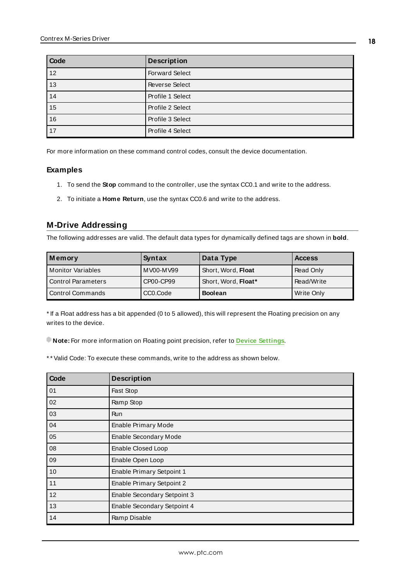| Code            | <b>Description</b>    |
|-----------------|-----------------------|
| $\overline{12}$ | <b>Forward Select</b> |
| $\boxed{13}$    | <b>Reverse Select</b> |
| $\boxed{14}$    | Profile 1 Select      |
| $\frac{1}{15}$  | Profile 2 Select      |
| $\overline{16}$ | Profile 3 Select      |
| $\frac{1}{17}$  | Profile 4 Select      |

For more information on these command control codes, consult the device documentation.

#### **Examples**

- 1. To send the **Stop** command to the controller, use the syntax CC0.1 and write to the address.
- 2. To initiate a **Home Return**, use the syntax CC0.6 and write to the address.

# <span id="page-17-0"></span>**M-Drive Addressing**

The following addresses are valid. The default data types for dynamically defined tags are shown in **bold**.

| Memory                   | Syntax                | Data Type           | <b>Access</b> |
|--------------------------|-----------------------|---------------------|---------------|
| <b>Monitor Variables</b> | MV00-MV99             | Short, Word, Float  | Read Only     |
| Control Parameters       | CP00-CP99             | Short, Word, Float* | Read/Write    |
| Control Commands         | CC <sub>0</sub> .Code | <b>Boolean</b>      | Write Only    |

\* If a Float address has a bit appended (0 to 5 allowed), this will represent the Floating precision on any writes to the device.

**Note:** For more information on Floating point precision, refer to **Device [Settings](#page-14-0)**.

\* \* Valid Code: To execute these commands, write to the address as shown below.

| Code | <b>Description</b>          |
|------|-----------------------------|
| 01   | Fast Stop                   |
| 02   | Ramp Stop                   |
| 03   | Run                         |
| 04   | Enable Primary Mode         |
| 05   | Enable Secondary Mode       |
| 08   | Enable Closed Loop          |
| 09   | Enable Open Loop            |
| 10   | Enable Primary Setpoint 1   |
| 11   | Enable Primary Setpoint 2   |
| 12   | Enable Secondary Setpoint 3 |
| 13   | Enable Secondary Setpoint 4 |
| 14   | Ramp Disable                |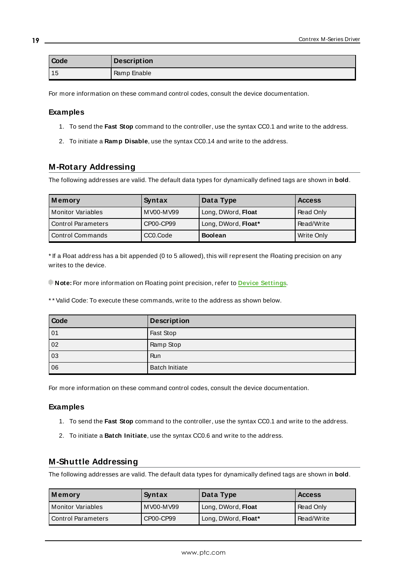| <b>Code</b> | <b>Description</b> |
|-------------|--------------------|
| l 15        | Ramp Enable        |

For more information on these command control codes, consult the device documentation.

#### **Examples**

- 1. To send the **Fast Stop** command to the controller, use the syntax CC0.1 and write to the address.
- 2. To initiate a **Ramp Disable**, use the syntax CC0.14 and write to the address.

#### <span id="page-18-0"></span>**M-Rotary Addressing**

The following addresses are valid. The default data types for dynamically defined tags are shown in **bold**.

| Memory               | Syntax                | Data Type           | <b>Access</b> |
|----------------------|-----------------------|---------------------|---------------|
| l Monitor Variables  | MV00-MV99             | Long, DWord, Float  | Read Only     |
| l Control Parameters | CP00-CP99             | Long, DWord, Float* | Read/Write    |
| l Control Commands   | CC <sub>0</sub> .Code | <b>Boolean</b>      | Write Only    |

\* If a Float address has a bit appended (0 to 5 allowed), this will represent the Floating precision on any writes to the device.

**Note:** For more information on Floating point precision, refer to **Device [Settings](#page-14-0)**.

\* \* Valid Code: To execute these commands, write to the address as shown below.

| Code | <b>Description</b>    |
|------|-----------------------|
| 01   | Fast Stop             |
| 02   | Ramp Stop             |
| 03   | <b>Run</b>            |
| 06   | <b>Batch Initiate</b> |

For more information on these command control codes, consult the device documentation.

#### **Examples**

- 1. To send the **Fast Stop** command to the controller, use the syntax CC0.1 and write to the address.
- 2. To initiate a **Batch Initiate**, use the syntax CC0.6 and write to the address.

#### <span id="page-18-1"></span>**M-Shuttle Addressing**

The following addresses are valid. The default data types for dynamically defined tags are shown in **bold**.

| Memory                    | Syntax    | Data Type           | <b>Access</b> |
|---------------------------|-----------|---------------------|---------------|
| <b>Monitor Variables</b>  | MV00-MV99 | Long, DWord, Float  | Read Only     |
| <b>Control Parameters</b> | CP00-CP99 | Long, DWord, Float* | Read/Write    |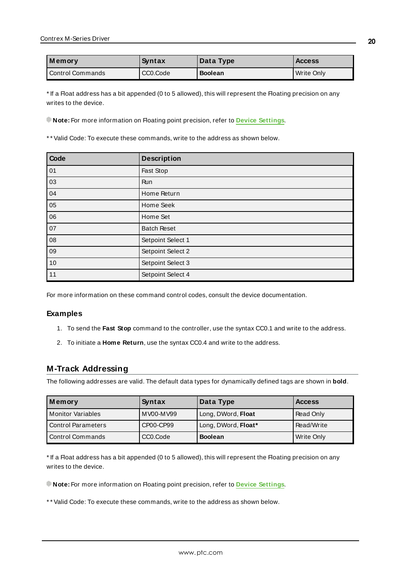| Memory             | Syntax   | Data Type      | <b>Access</b> |
|--------------------|----------|----------------|---------------|
| l Control Commands | CCO.Code | <b>Boolean</b> | Write Only    |

\* If a Float address has a bit appended (0 to 5 allowed), this will represent the Floating precision on any writes to the device.

**Note:** For more information on Floating point precision, refer to **Device [Settings](#page-14-0)**.

\* \* Valid Code: To execute these commands, write to the address as shown below.

| Code | <b>Description</b> |
|------|--------------------|
| 01   | Fast Stop          |
| 03   | <b>Run</b>         |
| 04   | Home Return        |
| 05   | Home Seek          |
| 06   | Home Set           |
| 07   | <b>Batch Reset</b> |
| 08   | Setpoint Select 1  |
| 09   | Setpoint Select 2  |
| 10   | Setpoint Select 3  |
| 11   | Setpoint Select 4  |

For more information on these command control codes, consult the device documentation.

#### **Examples**

- 1. To send the **Fast Stop** command to the controller, use the syntax CC0.1 and write to the address.
- 2. To initiate a **Home Return**, use the syntax CC0.4 and write to the address.

### <span id="page-19-0"></span>**M-Track Addressing**

The following addresses are valid. The default data types for dynamically defined tags are shown in **bold**.

| Memory                   | Syntax                | Data Type           | <b>Access</b> |
|--------------------------|-----------------------|---------------------|---------------|
| <b>Monitor Variables</b> | MV00-MV99             | Long, DWord, Float  | Read Only     |
| l Control Parameters     | CP00-CP99             | Long, DWord, Float* | Read/Write    |
| l Control Commands       | CC <sub>0</sub> .Code | <b>Boolean</b>      | Write Only    |

\* If a Float address has a bit appended (0 to 5 allowed), this will represent the Floating precision on any writes to the device.

**Note:** For more information on Floating point precision, refer to **Device [Settings](#page-14-0)**.

\*\* Valid Code: To execute these commands, write to the address as shown below.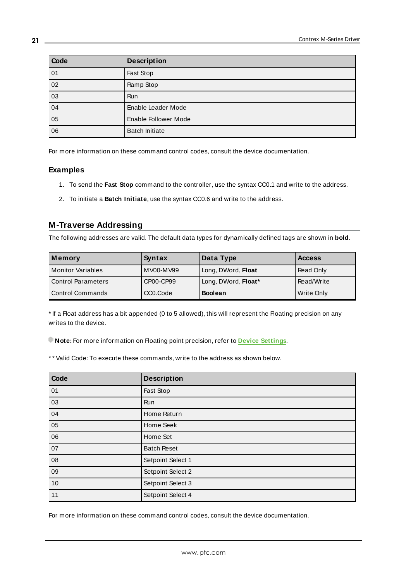| Code            | <b>Description</b>    |
|-----------------|-----------------------|
| $\overline{01}$ | Fast Stop             |
| $\overline{02}$ | Ramp Stop             |
| $\overline{03}$ | Run                   |
| $\boxed{04}$    | Enable Leader Mode    |
| 05              | Enable Follower Mode  |
| $\overline{06}$ | <b>Batch Initiate</b> |

For more information on these command control codes, consult the device documentation.

#### **Examples**

- 1. To send the **Fast Stop** command to the controller, use the syntax CC0.1 and write to the address.
- 2. To initiate a **Batch Initiate**, use the syntax CC0.6 and write to the address.

# <span id="page-20-0"></span>**M-Traverse Addressing**

The following addresses are valid. The default data types for dynamically defined tags are shown in **bold**.

| Memory                   | Syntax                | Data Type           | <b>Access</b> |
|--------------------------|-----------------------|---------------------|---------------|
| <b>Monitor Variables</b> | MV00-MV99             | Long, DWord, Float  | Read Only     |
| Control Parameters       | CP00-CP99             | Long, DWord, Float* | Read/Write    |
| Control Commands         | CC <sub>0</sub> .Code | <b>Boolean</b>      | Write Only    |

\* If a Float address has a bit appended (0 to 5 allowed), this will represent the Floating precision on any writes to the device.

**Note:** For more information on Floating point precision, refer to **Device [Settings](#page-14-0)**.

\* \* Valid Code: To execute these commands, write to the address as shown below.

| Code | <b>Description</b> |
|------|--------------------|
| 01   | Fast Stop          |
| 03   | <b>Run</b>         |
| 04   | Home Return        |
| 05   | Home Seek          |
| 06   | Home Set           |
| 07   | <b>Batch Reset</b> |
| 08   | Setpoint Select 1  |
| 09   | Setpoint Select 2  |
| 10   | Setpoint Select 3  |
| 11   | Setpoint Select 4  |

For more information on these command control codes, consult the device documentation.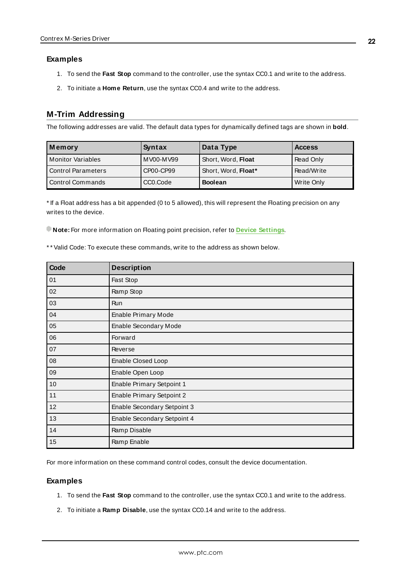#### **Examples**

- 1. To send the **Fast Stop** command to the controller, use the syntax CC0.1 and write to the address.
- 2. To initiate a **Home Return**, use the syntax CC0.4 and write to the address.

### <span id="page-21-0"></span>**M-Trim Addressing**

The following addresses are valid. The default data types for dynamically defined tags are shown in **bold**.

| Memory                    | Syntax                | Data Type           | <b>Access</b> |
|---------------------------|-----------------------|---------------------|---------------|
| <b>Monitor Variables</b>  | MV00-MV99             | Short, Word, Float  | Read Only     |
| <b>Control Parameters</b> | CP00-CP99             | Short, Word, Float* | Read/Write    |
| <b>Control Commands</b>   | CC <sub>0</sub> .Code | <b>Boolean</b>      | Write Only    |

\* If a Float address has a bit appended (0 to 5 allowed), this will represent the Floating precision on any writes to the device.

**Note:** For more information on Floating point precision, refer to **Device [Settings](#page-14-0)**.

\* \* Valid Code: To execute these commands, write to the address as shown below.

| Code | <b>Description</b>          |
|------|-----------------------------|
| 01   | Fast Stop                   |
| 02   | Ramp Stop                   |
| 03   | Run                         |
| 04   | Enable Primary Mode         |
| 05   | Enable Secondary Mode       |
| 06   | Forward                     |
| 07   | Reverse                     |
| 08   | Enable Closed Loop          |
| 09   | Enable Open Loop            |
| 10   | Enable Primary Setpoint 1   |
| 11   | Enable Primary Setpoint 2   |
| 12   | Enable Secondary Setpoint 3 |
| 13   | Enable Secondary Setpoint 4 |
| 14   | Ramp Disable                |
| 15   | Ramp Enable                 |

For more information on these command control codes, consult the device documentation.

#### **Examples**

- 1. To send the **Fast Stop** command to the controller, use the syntax CC0.1 and write to the address.
- 2. To initiate a **Ramp Disable**, use the syntax CC0.14 and write to the address.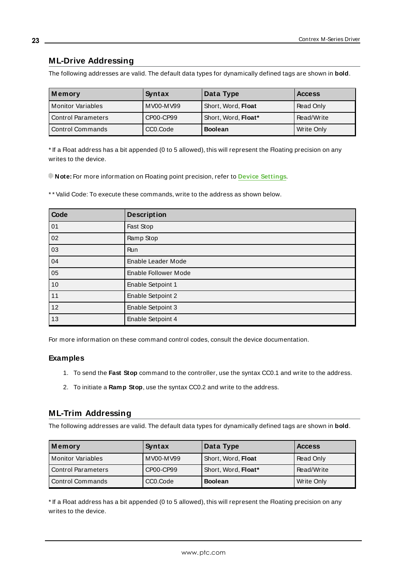# <span id="page-22-0"></span>**ML-Drive Addressing**

The following addresses are valid. The default data types for dynamically defined tags are shown in **bold**.

| Memory              | Syntax                | Data Type           | <b>Access</b> |
|---------------------|-----------------------|---------------------|---------------|
| l Monitor Variables | MV00-MV99             | Short, Word, Float  | Read Only     |
| Control Parameters  | CP00-CP99             | Short, Word, Float* | Read/Write    |
| Control Commands    | CC <sub>0</sub> .Code | <b>Boolean</b>      | Write Only    |

\* If a Float address has a bit appended (0 to 5 allowed), this will represent the Floating precision on any writes to the device.

**Note:** For more information on Floating point precision, refer to **Device [Settings](#page-14-0)**.

\* \* Valid Code: To execute these commands, write to the address as shown below.

| Code            | <b>Description</b>   |
|-----------------|----------------------|
| 01              | Fast Stop            |
| $\overline{02}$ | Ramp Stop            |
| $\overline{03}$ | Run                  |
| $\overline{04}$ | Enable Leader Mode   |
| $\overline{05}$ | Enable Follower Mode |
| $\overline{10}$ | Enable Setpoint 1    |
| $\overline{11}$ | Enable Setpoint 2    |
| $\overline{12}$ | Enable Setpoint 3    |
| $\overline{13}$ | Enable Setpoint 4    |

For more information on these command control codes, consult the device documentation.

#### **Examples**

- 1. To send the **Fast Stop** command to the controller, use the syntax CC0.1 and write to the address.
- 2. To initiate a **Ramp Stop**, use the syntax CC0.2 and write to the address.

### <span id="page-22-1"></span>**ML-Trim Addressing**

The following addresses are valid. The default data types for dynamically defined tags are shown in **bold**.

| Memory             | Syntax                | Data Type           | <b>Access</b> |
|--------------------|-----------------------|---------------------|---------------|
| Monitor Variables  | MV00-MV99             | Short, Word, Float  | Read Only     |
| Control Parameters | CP00-CP99             | Short, Word, Float* | Read/Write    |
| Control Commands   | CC <sub>0</sub> .Code | <b>Boolean</b>      | Write Only    |

\* If a Float address has a bit appended (0 to 5 allowed), this will represent the Floating precision on any writes to the device.

**23**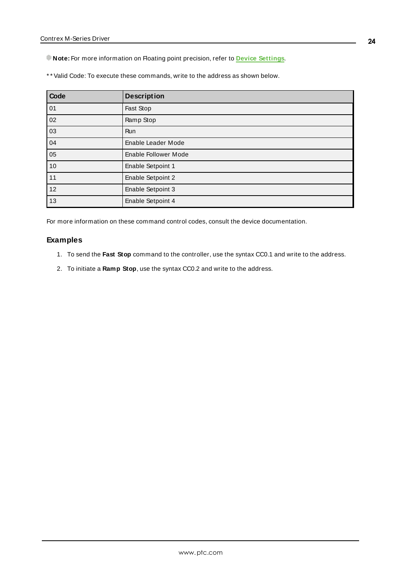**Note:** For more information on Floating point precision, refer to **Device [Settings](#page-14-0)**.

\* \* Valid Code: To execute these commands, write to the address as shown below.

| Code | <b>Description</b>          |
|------|-----------------------------|
| 01   | Fast Stop                   |
| 02   | Ramp Stop                   |
| 03   | <b>Run</b>                  |
| 04   | Enable Leader Mode          |
| 05   | <b>Enable Follower Mode</b> |
| 10   | Enable Setpoint 1           |
| 11   | Enable Setpoint 2           |
| 12   | Enable Setpoint 3           |
| 13   | Enable Setpoint 4           |

For more information on these command control codes, consult the device documentation.

### **Examples**

- 1. To send the **Fast Stop** command to the controller, use the syntax CC0.1 and write to the address.
- 2. To initiate a **Ramp Stop**, use the syntax CC0.2 and write to the address.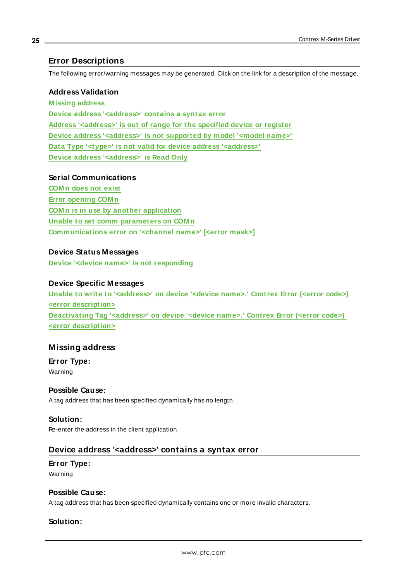# <span id="page-24-0"></span>**Error Descriptions**

The following error/warning messages may be generated. Click on the link for a description of the message.

#### **Address Validation**

**[M issing](#page-24-1) address Device address ['<address>'](#page-24-2) contains a syntax error Address ['<address>'](#page-25-0) is out of range for the specified device or register Device address ['<address>'](#page-25-1) is not supported by model '<model name>' Data Type '<type>' is not valid for device address ['<address>'](#page-25-2) Device address ['<address>'](#page-25-3) is Read Only**

#### **Serial Communications**

**[COM n](#page-26-0) does not exist Error [opening](#page-26-1) COM n COM n is in use by another [application](#page-26-2) Unable to set comm [parameters](#page-26-3) on COM n [Communications](#page-26-4) error on '<channel name>' [<error mask>]**

### **Device Status Messages**

**Device '<device name>' is not [responding](#page-27-0)**

#### **Device Specific Messages**

**Unable to write to ['<address>'](#page-27-1) on device '<device name>.' Contrex Error (<error code>) <error [description>](#page-27-1) [Deactivating](#page-28-0) Tag '<address>' on device '<device name>.' Contrex Error (<error code>) <error [description>](#page-28-0)**

### <span id="page-24-1"></span>**Missing address**

**Error Type:** Warning

### **Possible Cause:**

A tag address that has been specified dynamically has no length.

#### **Solution:**

<span id="page-24-2"></span>Re-enter the address in the client application.

### **Device address '<address>' contains a syntax error**

# **Error Type:**

Warning

#### **Possible Cause:**

A tag address that has been specified dynamically contains one or more invalid characters.

#### **Solution:**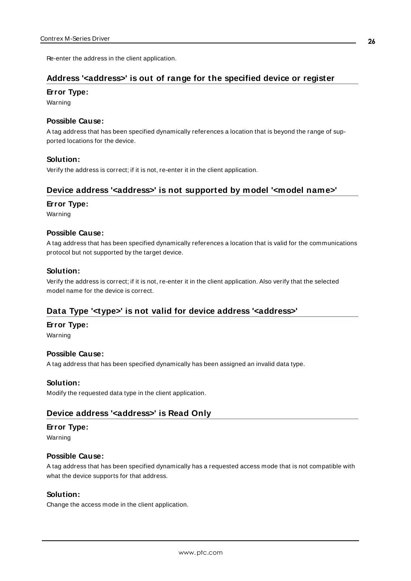<span id="page-25-0"></span>Re-enter the address in the client application.

### **Address '<address>' is out of range for the specified device or register**

#### **Error Type:**

Warning

#### **Possible Cause:**

A tag address that has been specified dynamically references a location that is beyond the range of supported locations for the device.

#### **Solution:**

<span id="page-25-1"></span>Verify the address is correct; if it is not, re-enter it in the client application.

### **Device address '<address>' is not supported by model '<model name>'**

#### **Error Type:**

Warning

#### **Possible Cause:**

A tag address that has been specified dynamically references a location that is valid for the communications protocol but not supported by the target device.

#### **Solution:**

Verify the address is correct; if it is not, re-enter it in the client application. Also verify that the selected model name for the device is correct.

### <span id="page-25-2"></span>**Data Type '<type>' is not valid for device address '<address>'**

#### **Error Type:**

Warning

#### **Possible Cause:**

A tag address that has been specified dynamically has been assigned an invalid data type.

#### **Solution:**

<span id="page-25-3"></span>Modify the requested data type in the client application.

#### **Device address '<address>' is Read Only**

#### **Error Type:**

Warning

#### **Possible Cause:**

A tag address that has been specified dynamically has a requested access mode that is not compatible with what the device supports for that address.

#### **Solution:**

Change the access mode in the client application.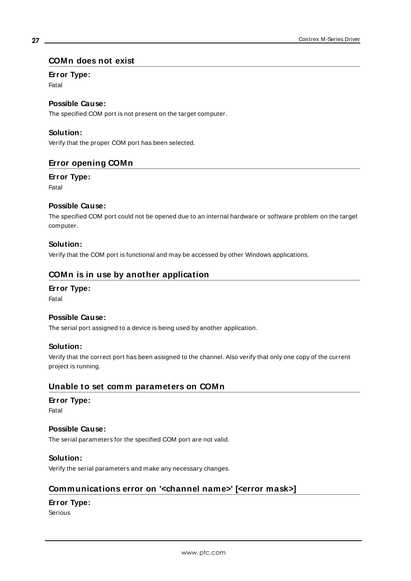### <span id="page-26-0"></span>**COMn does not exist**

#### **Error Type:**

Fatal

# **Possible Cause:**

The specified COM port is not present on the target computer.

### **Solution:**

<span id="page-26-1"></span>Verify that the proper COM port has been selected.

# **Error opening COMn**

#### **Error Type:**

Fatal

#### **Possible Cause:**

The specified COM port could not be opened due to an internal hardware or software problem on the target computer.

#### **Solution:**

<span id="page-26-2"></span>Verify that the COM port is functional and may be accessed by other Windows applications.

# **COMn is in use by another application**

# **Error Type:**

Fatal

#### **Possible Cause:**

The serial port assigned to a device is being used by another application.

#### **Solution:**

Verify that the correct port has been assigned to the channel. Also verify that only one copy of the current project is running.

### <span id="page-26-3"></span>**Unable to set comm parameters on COMn**

#### **Error Type:**

Fatal

#### **Possible Cause:**

The serial parameters for the specified COM port are not valid.

#### **Solution:**

<span id="page-26-4"></span>Verify the serial parameters and make any necessary changes.

# **Communications error on '<channel name>' [<error mask>]**

# **Error Type:**

Serious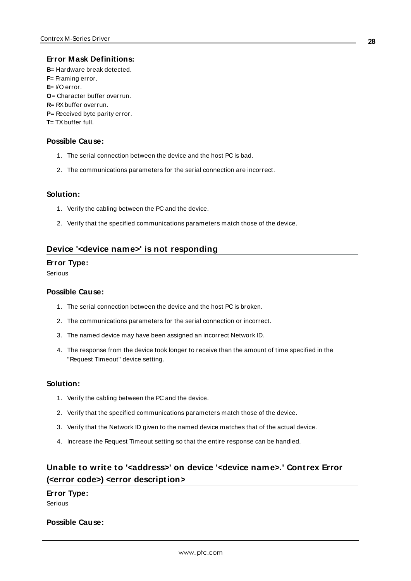### **Error Mask Definitions:**

<span id="page-27-4"></span><span id="page-27-3"></span><span id="page-27-2"></span>**B**= Hardware break detected. **F**= Framing error. **E**= I/O error. **O**= Character buffer overrun. **R**= RXbuffer overrun. **P**= Received byte parity error. **T**= TX buffer full.

#### **Possible Cause:**

- 1. The serial connection between the device and the host PC is bad.
- 2. The communications parameters for the serial connection are incorrect.

#### **Solution:**

- 1. Verify the cabling between the PC and the device.
- 2. Verify that the specified communications parameters match those of the device.

# <span id="page-27-0"></span>**Device '<device name>' is not responding**

#### **Error Type:**

Serious

#### **Possible Cause:**

- 1. The serial connection between the device and the host PC is broken.
- 2. The communications parameters for the serial connection or incorrect.
- 3. The named device may have been assigned an incorrect Network ID.
- 4. The response from the device took longer to receive than the amount of time specified in the "Request Timeout" device setting.

#### **Solution:**

- 1. Verify the cabling between the PC and the device.
- 2. Verify that the specified communications parameters match those of the device.
- 3. Verify that the Network ID given to the named device matches that of the actual device.
- 4. Increase the Request Timeout setting so that the entire response can be handled.

# <span id="page-27-1"></span>**Unable to write to '<address>' on device '<device name>.' Contrex Error (<error code>) <error description>**

#### **Error Type:**

Serious

#### **Possible Cause:**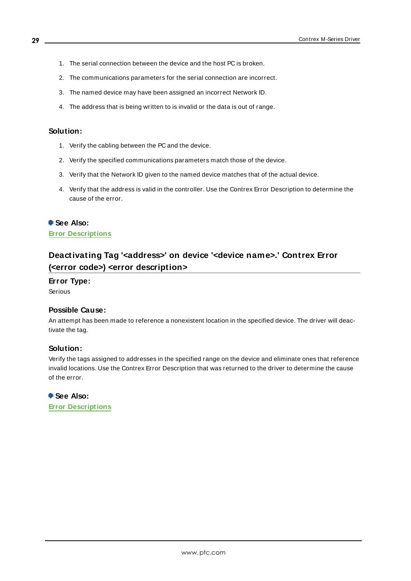- 1. The serial connection between the device and the host PC is broken.
- 2. The communications parameters for the serial connection are incorrect.
- 3. The named device may have been assigned an incorrect Network ID.
- 4. The address that is being written to is invalid or the data is out of range.

#### **Solution:**

- 1. Verify the cabling between the PC and the device.
- 2. Verify the specified communications parameters match those of the device.
- 3. Verify that the Network ID given to the named device matches that of the actual device.
- 4. Verify that the address is valid in the controller. Use the Contrex Error Description to determine the cause of the error.

# **See Also: Error [Descriptions](#page-24-0)**

# <span id="page-28-0"></span>**Deactivating Tag '<address>' on device '<device name>.' Contrex Error (<error code>) <error description>**

# **Error Type:**

Serious

#### **Possible Cause:**

An attempt has been made to reference a nonexistent location in the specified device. The driver will deactivate the tag.

#### **Solution:**

Verify the tags assigned to addresses in the specified range on the device and eliminate ones that reference invalid locations. Use the Contrex Error Description that was returned to the driver to determine the cause of the error.

**See Also: Error [Descriptions](#page-24-0)**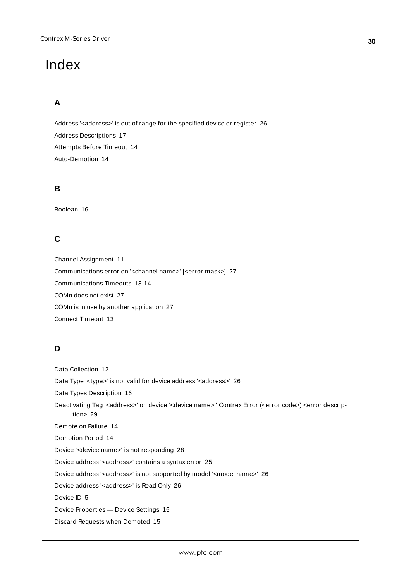# <span id="page-29-0"></span>Index

# **A**

Address '<address>' is out of range for the specified device or register [26](#page-25-0) Address Descriptions [17](#page-16-0) Attempts Before Timeout [14](#page-13-1) Auto-Demotion [14](#page-13-0)

# **B**

Boolean [16](#page-15-1)

# **C**

Channel Assignment [11](#page-10-1) Communications error on '<channel name>' [<error mask>] [27](#page-26-4) Communications Timeouts [13-14](#page-12-1) COMn does not exist [27](#page-26-0) COMn is in use by another application [27](#page-26-2) Connect Timeout [13](#page-12-2)

# **D**

Data Collection [12](#page-11-2) Data Type '<type>' is not valid for device address '<address>' [26](#page-25-2) Data Types Description [16](#page-15-0) Deactivating Tag '<address>' on device '<device name>.' Contrex Error (<error code>) <error descrip-tion> [29](#page-28-0) Demote on Failure [14](#page-13-2) Demotion Period [14](#page-13-3) Device '<device name>' is not responding [28](#page-27-0) Device address '< address>' contains a syntax error [25](#page-24-2) Device address '< address>' is not supported by model '< model name>' [26](#page-25-1) Device address '<address>' is Read Only [26](#page-25-3) Device ID [5](#page-4-1) Device Properties — Device Settings [15](#page-14-0) Discard Requests when Demoted [15](#page-14-2)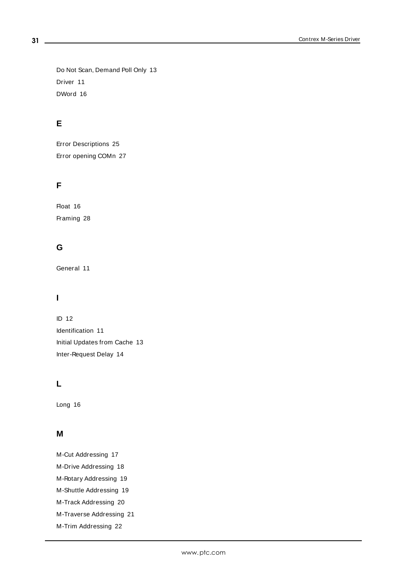Do Not Scan, Demand Poll Only [13](#page-12-3) Driver [11](#page-10-2) DWord [16](#page-15-2)

# **E**

Error Descriptions [25](#page-24-0) Error opening COMn [27](#page-26-1)

# **F**

Float [16](#page-15-3) Framing [28](#page-27-2)

# **G**

General [11](#page-10-0)

# **I**

ID [12](#page-11-3) Identification [11](#page-10-0) Initial Updates from Cache [13](#page-12-4) Inter-Request Delay [14](#page-13-4)

# **L**

Long [16](#page-15-4)

# **M**

M-Cut Addressing [17](#page-16-1) M-Drive Addressing [18](#page-17-0) M-Rotary Addressing [19](#page-18-0) M-Shuttle Addressing [19](#page-18-1) M-Track Addressing [20](#page-19-0) M-Traverse Addressing [21](#page-20-0) M-Trim Addressing [22](#page-21-0)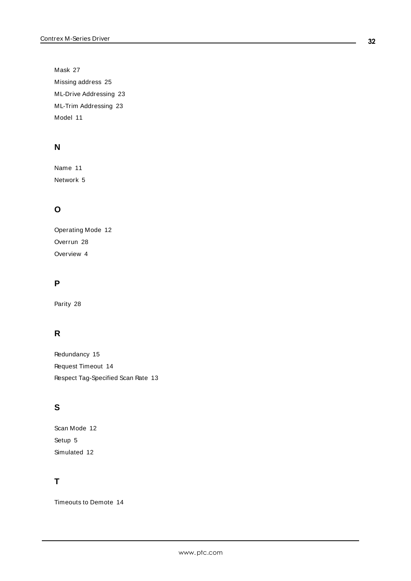Mask [27](#page-26-4) Missing address [25](#page-24-1) ML-Drive Addressing [23](#page-22-0) ML-Trim Addressing [23](#page-22-1) Model [11](#page-10-3)

# **N**

Name [11](#page-10-4) Network [5](#page-4-2)

# **O**

Operating Mode [12](#page-11-0) Overrun [28](#page-27-3) Overview [4](#page-3-1)

# **P**

Parity [28](#page-27-4)

# **R**

Redundancy [15](#page-14-1) Request Timeout [14](#page-13-5) Respect Tag-Specified Scan Rate [13](#page-12-5)

# **S**

Scan Mode [12](#page-11-4) Setup [5](#page-4-0) Simulated [12](#page-11-5)

# **T**

Timeouts to Demote [14](#page-13-6)